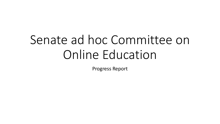# Senate ad hoc Committee on Online Education

Progress Report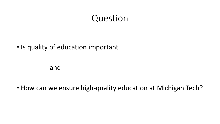#### Question

#### • Is quality of education important

and

• How can we ensure high-quality education at Michigan Tech?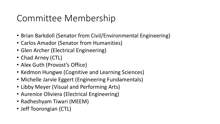# Committee Membership

- Brian Barkdoll (Senator from Civil/Environmental Engineering)
- Carlos Amador (Senator from Humanities)
- Glen Archer (Electrical Engineering)
- Chad Arney (CTL)
- Alex Guth (Provost's Office)
- Kedmon Hungwe (Cognitive and Learning Sciences)
- Michelle Jarvie Eggert (Engineering Fundamentals)
- Libby Meyer (Visual and Performing Arts)
- Aurenice Oliviera (Electrical Engineering)
- Radheshyam Tiwari (MEEM)
- Jeff Toorongian (CTL)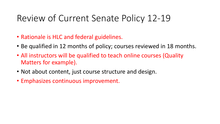# Review of Current Senate Policy 12-19

- Rationale is HLC and federal guidelines.
- Be qualified in 12 months of policy; courses reviewed in 18 months.
- All instructors will be qualified to teach online courses (Quality Matters for example).
- Not about content, just course structure and design.
- Emphasizes continuous improvement.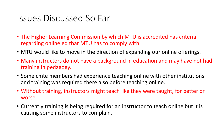### Issues Discussed So Far

- The Higher Learning Commission by which MTU is accredited has criteria regarding online ed that MTU has to comply with.
- MTU would like to move in the direction of expanding our online offerings.
- Many instructors do not have a background in education and may have not had training in pedagogy.
- Some cmte members had experience teaching online with other institutions and training was required there also before teaching online.
- Without training, instructors might teach like they were taught, for better or worse.
- Currently training is being required for an instructor to teach online but it is causing some instructors to complain.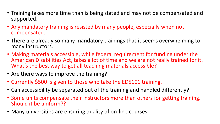- Training takes more time than is being stated and may not be compensated and supported.
- Any mandatory training is resisted by many people, especially when not compensated.
- There are already so many mandatory trainings that it seems overwhelming to many instructors.
- Making materials accessible, while federal requirement for funding under the American Disabilities Act, takes a lot of time and we are not really trained for it. What's the best way to get all teaching materials accessible?
- Are there ways to improve the training?
- Currently \$500 is given to those who take the ED5101 training.
- Can accessibility be separated out of the training and handled differently?
- Some units compensate their instructors more than others for getting training. Should it be uniform??
- Many universities are ensuring quality of on-line courses.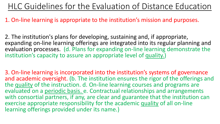### HLC Guidelines for the Evaluation of Distance Education

#### 1. On-line learning is appropriate to the institution's mission and purposes.

2. The institution's plans for developing, sustaining and, if appropriate, expanding on-line learning offerings are integrated into its regular planning and evaluation processes. (d. Plans for expanding on-line learning demonstrate the institution's capacity to assure an appropriate level of quality.)

3. On-line learning is incorporated into the institution's systems of governance and academic oversight. (b. The institution ensures the rigor of the offerings and the quality of the instruction. d. On-line learning courses and programs are evaluated on a periodic basis. e. Contractual relationships and arrangements with consortial partners, if any, are clear and guarantee that the institution can exercise appropriate responsibility for the academic quality of all on-line learning offerings provided under its name.)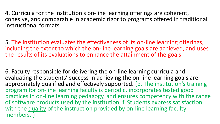4. Curricula for the institution's on-line learning offerings are coherent, cohesive, and comparable in academic rigor to programs offered in traditional instructional formats.

5. The institution evaluates the effectiveness of its on-line learning offerings, including the extent to which the on-line learning goals are achieved, and uses the results of its evaluations to enhance the attainment of the goals.

6. Faculty responsible for delivering the on-line learning curricula and evaluating the students' success in achieving the on-line learning goals are appropriately qualified and effectively supported. (b. The institution's training program for on-line learning faculty is periodic, incorporates tested good practices in on-line learning pedagogy, and ensures competency with the range of software products used by the institution. f. Students express satisfaction with the quality of the instruction provided by on-line learning faculty members. )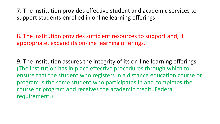7. The institution provides effective student and academic services to support students enrolled in online learning offerings.

8. The institution provides sufficient resources to support and, if appropriate, expand its on-line learning offerings.

9. The institution assures the integrity of its on-line learning offerings. (The institution has in place effective procedures through which to ensure that the student who registers in a distance education course or program is the same student who participates in and completes the course or program and receives the academic credit. Federal requirement.)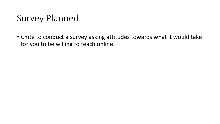# Survey Planned

• Cmte to conduct a survey asking attitudes towards what it would take for you to be willing to teach online.